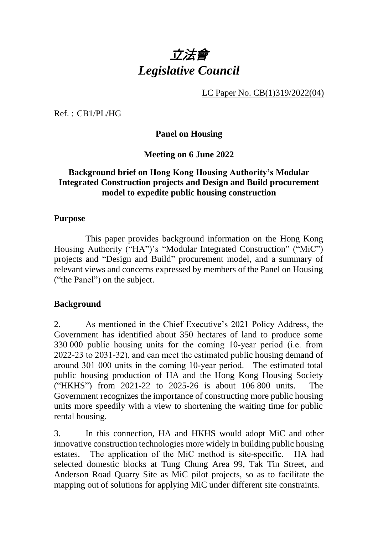

LC Paper No. CB(1)319/2022(04)

Ref. : CB1/PL/HG

**Panel on Housing**

**Meeting on 6 June 2022**

### **Background brief on Hong Kong Housing Authority's Modular Integrated Construction projects and Design and Build procurement model to expedite public housing construction**

#### **Purpose**

This paper provides background information on the Hong Kong Housing Authority ("HA")'s "Modular Integrated Construction" ("MiC") projects and "Design and Build" procurement model, and a summary of relevant views and concerns expressed by members of the Panel on Housing ("the Panel") on the subject.

#### **Background**

2. As mentioned in the Chief Executive's 2021 Policy Address, the Government has identified about 350 hectares of land to produce some 330 000 public housing units for the coming 10‑year period (i.e. from 2022‑23 to 2031‑32), and can meet the estimated public housing demand of around 301 000 units in the coming 10‑year period. The estimated total public housing production of HA and the Hong Kong Housing Society ("HKHS") from 2021-22 to 2025-26 is about 106 800 units. The Government recognizes the importance of constructing more public housing units more speedily with a view to shortening the waiting time for public rental housing.

3. In this connection, HA and HKHS would adopt MiC and other innovative construction technologies more widely in building public housing estates. The application of the MiC method is site-specific. HA had selected domestic blocks at Tung Chung Area 99, Tak Tin Street, and Anderson Road Quarry Site as MiC pilot projects, so as to facilitate the mapping out of solutions for applying MiC under different site constraints.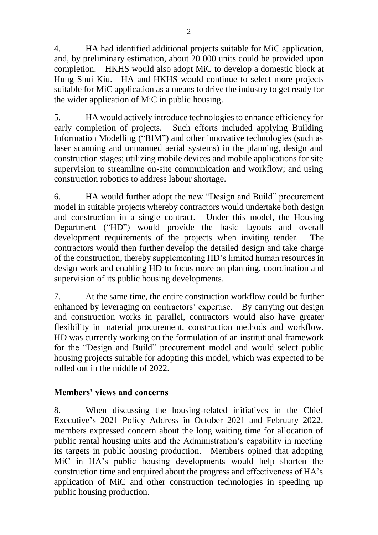4. HA had identified additional projects suitable for MiC application, and, by preliminary estimation, about 20 000 units could be provided upon completion. HKHS would also adopt MiC to develop a domestic block at Hung Shui Kiu. HA and HKHS would continue to select more projects suitable for MiC application as a means to drive the industry to get ready for the wider application of MiC in public housing.

5. HA would actively introduce technologies to enhance efficiency for early completion of projects. Such efforts included applying Building Information Modelling ("BIM") and other innovative technologies (such as laser scanning and unmanned aerial systems) in the planning, design and construction stages; utilizing mobile devices and mobile applications for site supervision to streamline on-site communication and workflow; and using construction robotics to address labour shortage.

6. HA would further adopt the new "Design and Build" procurement model in suitable projects whereby contractors would undertake both design and construction in a single contract. Under this model, the Housing Department ("HD") would provide the basic layouts and overall development requirements of the projects when inviting tender. The contractors would then further develop the detailed design and take charge of the construction, thereby supplementing HD's limited human resources in design work and enabling HD to focus more on planning, coordination and supervision of its public housing developments.

7. At the same time, the entire construction workflow could be further enhanced by leveraging on contractors' expertise. By carrying out design and construction works in parallel, contractors would also have greater flexibility in material procurement, construction methods and workflow. HD was currently working on the formulation of an institutional framework for the "Design and Build" procurement model and would select public housing projects suitable for adopting this model, which was expected to be rolled out in the middle of 2022.

## **Members' views and concerns**

8. When discussing the housing-related initiatives in the Chief Executive's 2021 Policy Address in October 2021 and February 2022, members expressed concern about the long waiting time for allocation of public rental housing units and the Administration's capability in meeting its targets in public housing production. Members opined that adopting MiC in HA's public housing developments would help shorten the construction time and enquired about the progress and effectiveness of HA's application of MiC and other construction technologies in speeding up public housing production.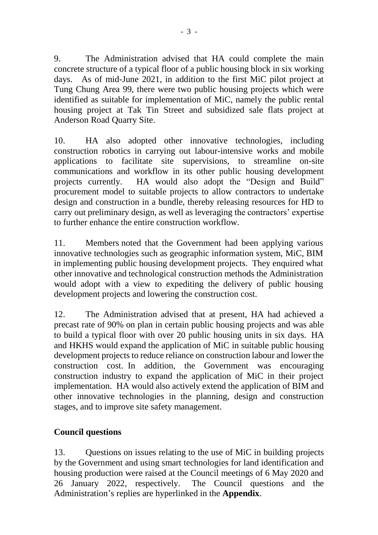9. The Administration advised that HA could complete the main concrete structure of a typical floor of a public housing block in six working days. As of mid-June 2021, in addition to the first MiC pilot project at Tung Chung Area 99, there were two public housing projects which were identified as suitable for implementation of MiC, namely the public rental housing project at Tak Tin Street and subsidized sale flats project at Anderson Road Quarry Site.

10. HA also adopted other innovative technologies, including construction robotics in carrying out labour-intensive works and mobile applications to facilitate site supervisions, to streamline on-site communications and workflow in its other public housing development projects currently. HA would also adopt the "Design and Build" procurement model to suitable projects to allow contractors to undertake design and construction in a bundle, thereby releasing resources for HD to carry out preliminary design, as well as leveraging the contractors' expertise to further enhance the entire construction workflow.

11. Members noted that the Government had been applying various innovative technologies such as geographic information system, MiC, BIM in implementing public housing development projects. They enquired what other innovative and technological construction methods the Administration would adopt with a view to expediting the delivery of public housing development projects and lowering the construction cost.

12. The Administration advised that at present, HA had achieved a precast rate of 90% on plan in certain public housing projects and was able to build a typical floor with over 20 public housing units in six days. HA and HKHS would expand the application of MiC in suitable public housing development projects to reduce reliance on construction labour and lower the construction cost. In addition, the Government was encouraging construction industry to expand the application of MiC in their project implementation. HA would also actively extend the application of BIM and other innovative technologies in the planning, design and construction stages, and to improve site safety management.

## **Council questions**

13. Questions on issues relating to the use of MiC in building projects by the Government and using smart technologies for land identification and housing production were raised at the Council meetings of 6 May 2020 and 26 January 2022, respectively. The Council questions and the Administration's replies are hyperlinked in the **Appendix**.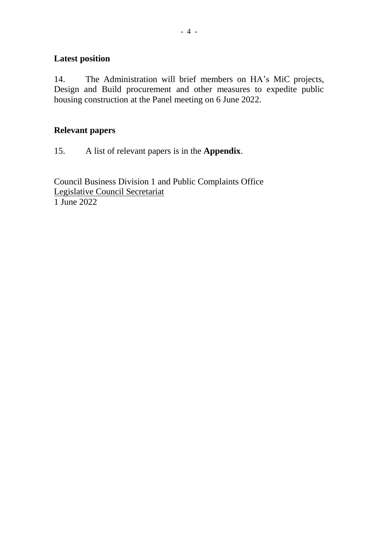#### **Latest position**

14. The Administration will brief members on HA's MiC projects, Design and Build procurement and other measures to expedite public housing construction at the Panel meeting on 6 June 2022.

### **Relevant papers**

15. A list of relevant papers is in the **Appendix**.

Council Business Division 1 and Public Complaints Office Legislative Council Secretariat 1 June 2022